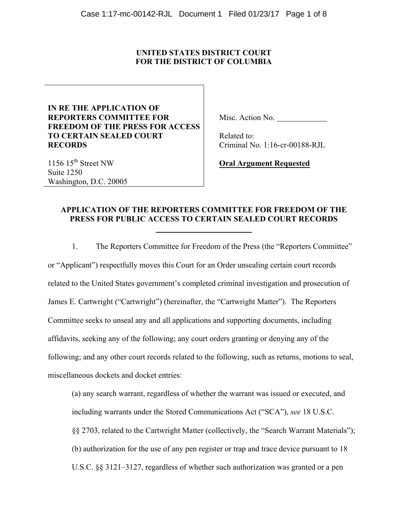## **UNITED STATES DISTRICT COURT FOR THE DISTRICT OF COLUMBIA**

# **IN RE THE APPLICATION OF REPORTERS COMMITTEE FOR FREEDOM OF THE PRESS FOR ACCESS TO CERTAIN SEALED COURT RECORDS**

Misc. Action No.

 Related to: Criminal No. 1:16-cr-00188-RJL

1156 15<sup>th</sup> Street NW Suite 1250 Washington, D.C. 20005

**Oral Argument Requested**

# **APPLICATION OF THE REPORTERS COMMITTEE FOR FREEDOM OF THE PRESS FOR PUBLIC ACCESS TO CERTAIN SEALED COURT RECORDS**

1. The Reporters Committee for Freedom of the Press (the "Reporters Committee" or "Applicant") respectfully moves this Court for an Order unsealing certain court records related to the United States government's completed criminal investigation and prosecution of James E. Cartwright ("Cartwright") (hereinafter, the "Cartwright Matter"). The Reporters Committee seeks to unseal any and all applications and supporting documents, including affidavits, seeking any of the following; any court orders granting or denying any of the following; and any other court records related to the following, such as returns, motions to seal, miscellaneous dockets and docket entries:

(a) any search warrant, regardless of whether the warrant was issued or executed, and including warrants under the Stored Communications Act ("SCA"), *see* 18 U.S.C. §§ 2703, related to the Cartwright Matter (collectively, the "Search Warrant Materials"); (b) authorization for the use of any pen register or trap and trace device pursuant to 18 U.S.C. §§ 3121–3127, regardless of whether such authorization was granted or a pen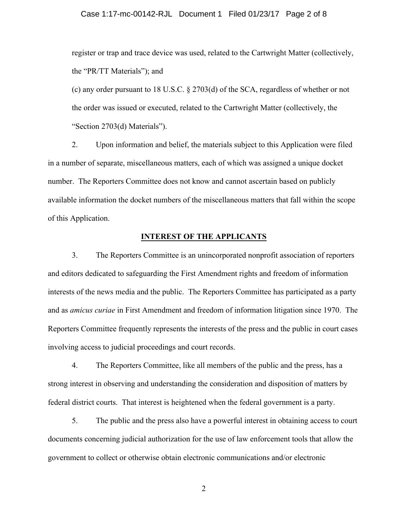register or trap and trace device was used, related to the Cartwright Matter (collectively, the "PR/TT Materials"); and

(c) any order pursuant to 18 U.S.C. § 2703(d) of the SCA, regardless of whether or not the order was issued or executed, related to the Cartwright Matter (collectively, the "Section 2703(d) Materials").

2. Upon information and belief, the materials subject to this Application were filed in a number of separate, miscellaneous matters, each of which was assigned a unique docket number. The Reporters Committee does not know and cannot ascertain based on publicly available information the docket numbers of the miscellaneous matters that fall within the scope of this Application.

#### **INTEREST OF THE APPLICANTS**

3. The Reporters Committee is an unincorporated nonprofit association of reporters and editors dedicated to safeguarding the First Amendment rights and freedom of information interests of the news media and the public. The Reporters Committee has participated as a party and as *amicus curiae* in First Amendment and freedom of information litigation since 1970. The Reporters Committee frequently represents the interests of the press and the public in court cases involving access to judicial proceedings and court records.

4. The Reporters Committee, like all members of the public and the press, has a strong interest in observing and understanding the consideration and disposition of matters by federal district courts. That interest is heightened when the federal government is a party.

5. The public and the press also have a powerful interest in obtaining access to court documents concerning judicial authorization for the use of law enforcement tools that allow the government to collect or otherwise obtain electronic communications and/or electronic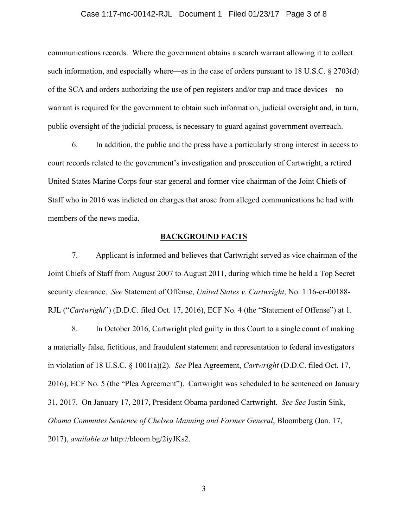#### Case 1:17-mc-00142-RJL Document 1 Filed 01/23/17 Page 3 of 8

communications records. Where the government obtains a search warrant allowing it to collect such information, and especially where—as in the case of orders pursuant to 18 U.S.C. § 2703(d) of the SCA and orders authorizing the use of pen registers and/or trap and trace devices—no warrant is required for the government to obtain such information, judicial oversight and, in turn, public oversight of the judicial process, is necessary to guard against government overreach.

6. In addition, the public and the press have a particularly strong interest in access to court records related to the government's investigation and prosecution of Cartwright, a retired United States Marine Corps four-star general and former vice chairman of the Joint Chiefs of Staff who in 2016 was indicted on charges that arose from alleged communications he had with members of the news media.

#### **BACKGROUND FACTS**

7. Applicant is informed and believes that Cartwright served as vice chairman of the Joint Chiefs of Staff from August 2007 to August 2011, during which time he held a Top Secret security clearance. *See* Statement of Offense, *United States v. Cartwright*, No. 1:16-cr-00188- RJL ("*Cartwright*") (D.D.C. filed Oct. 17, 2016), ECF No. 4 (the "Statement of Offense") at 1.

8. In October 2016, Cartwright pled guilty in this Court to a single count of making a materially false, fictitious, and fraudulent statement and representation to federal investigators in violation of 18 U.S.C. § 1001(a)(2). *See* Plea Agreement, *Cartwright* (D.D.C. filed Oct. 17, 2016), ECF No. 5 (the "Plea Agreement"). Cartwright was scheduled to be sentenced on January 31, 2017. On January 17, 2017, President Obama pardoned Cartwright. *See See* Justin Sink, *Obama Commutes Sentence of Chelsea Manning and Former General*, Bloomberg (Jan. 17, 2017), *available at* http://bloom.bg/2iyJKs2.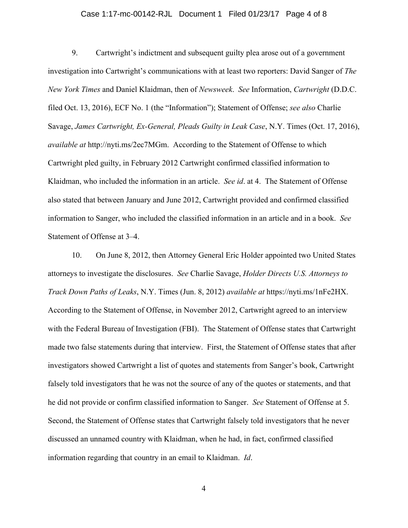#### Case 1:17-mc-00142-RJL Document 1 Filed 01/23/17 Page 4 of 8

9. Cartwright's indictment and subsequent guilty plea arose out of a government investigation into Cartwright's communications with at least two reporters: David Sanger of *The New York Times* and Daniel Klaidman, then of *Newsweek*. *See* Information, *Cartwright* (D.D.C. filed Oct. 13, 2016), ECF No. 1 (the "Information"); Statement of Offense; *see also* Charlie Savage, *James Cartwright, Ex-General, Pleads Guilty in Leak Case*, N.Y. Times (Oct. 17, 2016), *available at* http://nyti.ms/2ec7MGm. According to the Statement of Offense to which Cartwright pled guilty, in February 2012 Cartwright confirmed classified information to Klaidman, who included the information in an article. *See id*. at 4. The Statement of Offense also stated that between January and June 2012, Cartwright provided and confirmed classified information to Sanger, who included the classified information in an article and in a book. *See* Statement of Offense at 3–4.

10. On June 8, 2012, then Attorney General Eric Holder appointed two United States attorneys to investigate the disclosures. *See* Charlie Savage, *Holder Directs U.S. Attorneys to Track Down Paths of Leaks*, N.Y. Times (Jun. 8, 2012) *available at* https://nyti.ms/1nFe2HX. According to the Statement of Offense, in November 2012, Cartwright agreed to an interview with the Federal Bureau of Investigation (FBI). The Statement of Offense states that Cartwright made two false statements during that interview. First, the Statement of Offense states that after investigators showed Cartwright a list of quotes and statements from Sanger's book, Cartwright falsely told investigators that he was not the source of any of the quotes or statements, and that he did not provide or confirm classified information to Sanger. *See* Statement of Offense at 5. Second, the Statement of Offense states that Cartwright falsely told investigators that he never discussed an unnamed country with Klaidman, when he had, in fact, confirmed classified information regarding that country in an email to Klaidman. *Id*.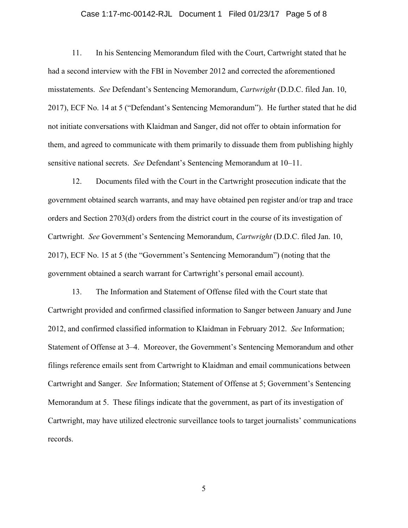#### Case 1:17-mc-00142-RJL Document 1 Filed 01/23/17 Page 5 of 8

11. In his Sentencing Memorandum filed with the Court, Cartwright stated that he had a second interview with the FBI in November 2012 and corrected the aforementioned misstatements. *See* Defendant's Sentencing Memorandum, *Cartwright* (D.D.C. filed Jan. 10, 2017), ECF No. 14 at 5 ("Defendant's Sentencing Memorandum"). He further stated that he did not initiate conversations with Klaidman and Sanger, did not offer to obtain information for them, and agreed to communicate with them primarily to dissuade them from publishing highly sensitive national secrets. *See* Defendant's Sentencing Memorandum at 10–11.

12. Documents filed with the Court in the Cartwright prosecution indicate that the government obtained search warrants, and may have obtained pen register and/or trap and trace orders and Section 2703(d) orders from the district court in the course of its investigation of Cartwright. *See* Government's Sentencing Memorandum, *Cartwright* (D.D.C. filed Jan. 10, 2017), ECF No. 15 at 5 (the "Government's Sentencing Memorandum") (noting that the government obtained a search warrant for Cartwright's personal email account).

13. The Information and Statement of Offense filed with the Court state that Cartwright provided and confirmed classified information to Sanger between January and June 2012, and confirmed classified information to Klaidman in February 2012. *See* Information; Statement of Offense at 3–4. Moreover, the Government's Sentencing Memorandum and other filings reference emails sent from Cartwright to Klaidman and email communications between Cartwright and Sanger. *See* Information; Statement of Offense at 5; Government's Sentencing Memorandum at 5. These filings indicate that the government, as part of its investigation of Cartwright, may have utilized electronic surveillance tools to target journalists' communications records.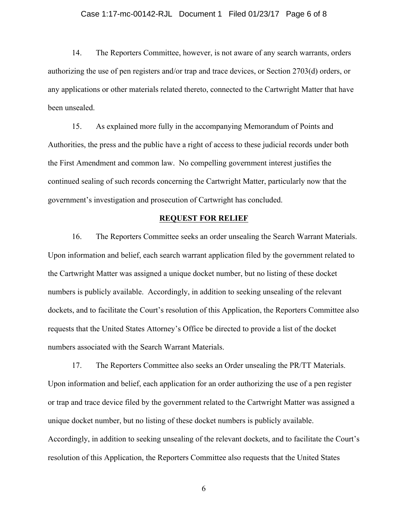#### Case 1:17-mc-00142-RJL Document 1 Filed 01/23/17 Page 6 of 8

14. The Reporters Committee, however, is not aware of any search warrants, orders authorizing the use of pen registers and/or trap and trace devices, or Section 2703(d) orders, or any applications or other materials related thereto, connected to the Cartwright Matter that have been unsealed.

15. As explained more fully in the accompanying Memorandum of Points and Authorities, the press and the public have a right of access to these judicial records under both the First Amendment and common law. No compelling government interest justifies the continued sealing of such records concerning the Cartwright Matter, particularly now that the government's investigation and prosecution of Cartwright has concluded.

#### **REQUEST FOR RELIEF**

16. The Reporters Committee seeks an order unsealing the Search Warrant Materials. Upon information and belief, each search warrant application filed by the government related to the Cartwright Matter was assigned a unique docket number, but no listing of these docket numbers is publicly available. Accordingly, in addition to seeking unsealing of the relevant dockets, and to facilitate the Court's resolution of this Application, the Reporters Committee also requests that the United States Attorney's Office be directed to provide a list of the docket numbers associated with the Search Warrant Materials.

17. The Reporters Committee also seeks an Order unsealing the PR/TT Materials. Upon information and belief, each application for an order authorizing the use of a pen register or trap and trace device filed by the government related to the Cartwright Matter was assigned a unique docket number, but no listing of these docket numbers is publicly available. Accordingly, in addition to seeking unsealing of the relevant dockets, and to facilitate the Court's resolution of this Application, the Reporters Committee also requests that the United States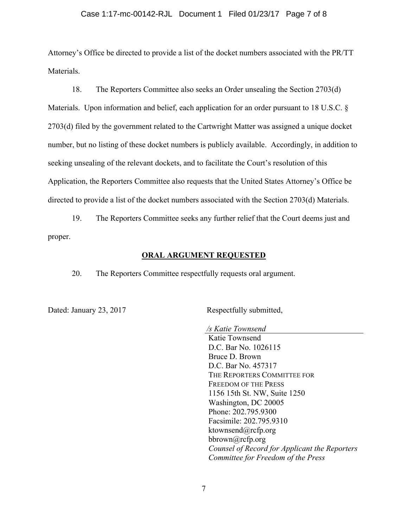#### Case 1:17-mc-00142-RJL Document 1 Filed 01/23/17 Page 7 of 8

Attorney's Office be directed to provide a list of the docket numbers associated with the PR/TT **Materials** 

18. The Reporters Committee also seeks an Order unsealing the Section 2703(d) Materials. Upon information and belief, each application for an order pursuant to 18 U.S.C. § 2703(d) filed by the government related to the Cartwright Matter was assigned a unique docket number, but no listing of these docket numbers is publicly available. Accordingly, in addition to seeking unsealing of the relevant dockets, and to facilitate the Court's resolution of this Application, the Reporters Committee also requests that the United States Attorney's Office be directed to provide a list of the docket numbers associated with the Section 2703(d) Materials.

19. The Reporters Committee seeks any further relief that the Court deems just and proper.

### **ORAL ARGUMENT REQUESTED**

20. The Reporters Committee respectfully requests oral argument.

Dated: January 23, 2017 Respectfully submitted,

*/s Katie Townsend* Katie Townsend D.C. Bar No. 1026115 Bruce D. Brown D.C. Bar No. 457317 THE REPORTERS COMMITTEE FOR FREEDOM OF THE PRESS 1156 15th St. NW, Suite 1250 Washington, DC 20005 Phone: 202.795.9300 Facsimile: 202.795.9310 ktownsend@rcfp.org bbrown@rcfp.org *Counsel of Record for Applicant the Reporters Committee for Freedom of the Press*